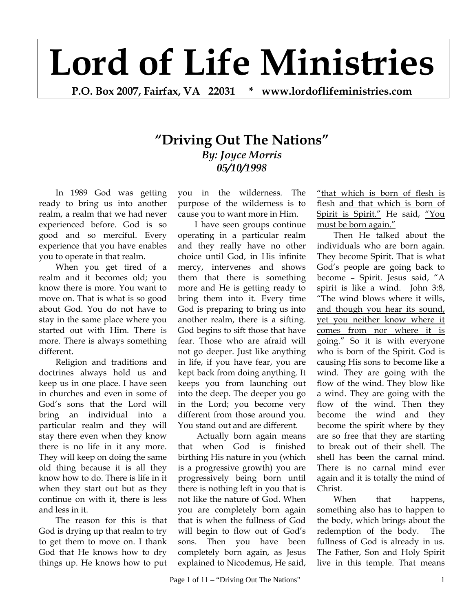## **Lord of Life Ministries**

**P.O. Box 2007, Fairfax, VA 22031 \* www.lordoflifeministries.com** 

## **"Driving Out The Nations"**  *By: Joyce Morris 05/10/1998*

In 1989 God was getting ready to bring us into another realm, a realm that we had never experienced before. God is so good and so merciful. Every experience that you have enables you to operate in that realm.

When you get tired of a realm and it becomes old; you know there is more. You want to move on. That is what is so good about God. You do not have to stay in the same place where you started out with Him. There is more. There is always something different.

Religion and traditions and doctrines always hold us and keep us in one place. I have seen in churches and even in some of God's sons that the Lord will bring an individual into a particular realm and they will stay there even when they know there is no life in it any more. They will keep on doing the same old thing because it is all they know how to do. There is life in it when they start out but as they continue on with it, there is less and less in it.

The reason for this is that God is drying up that realm to try to get them to move on. I thank God that He knows how to dry things up. He knows how to put

you in the wilderness. The purpose of the wilderness is to cause you to want more in Him.

I have seen groups continue operating in a particular realm and they really have no other choice until God, in His infinite mercy, intervenes and shows them that there is something more and He is getting ready to bring them into it. Every time God is preparing to bring us into another realm, there is a sifting. God begins to sift those that have fear. Those who are afraid will not go deeper. Just like anything in life, if you have fear, you are kept back from doing anything. It keeps you from launching out into the deep. The deeper you go in the Lord; you become very different from those around you. You stand out and are different.

 Actually born again means that when God is finished birthing His nature in you (which is a progressive growth) you are progressively being born until there is nothing left in you that is not like the nature of God. When you are completely born again that is when the fullness of God will begin to flow out of God's sons. Then you have been completely born again, as Jesus explained to Nicodemus, He said,

"that which is born of flesh is flesh and that which is born of Spirit is Spirit." He said, "You must be born again."

Then He talked about the individuals who are born again. They become Spirit. That is what God's people are going back to become – Spirit. Jesus said, "A spirit is like a wind. John 3:8, "The wind blows where it wills, and though you hear its sound, yet you neither know where it comes from nor where it is going." So it is with everyone who is born of the Spirit. God is causing His sons to become like a wind. They are going with the flow of the wind. They blow like a wind. They are going with the flow of the wind. Then they become the wind and they become the spirit where by they are so free that they are starting to break out of their shell. The shell has been the carnal mind. There is no carnal mind ever again and it is totally the mind of Christ.

When that happens, something also has to happen to the body, which brings about the redemption of the body. The fullness of God is already in us. The Father, Son and Holy Spirit live in this temple. That means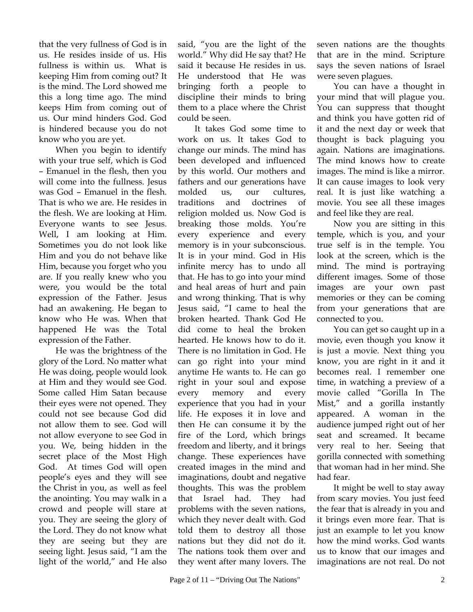that the very fullness of God is in us. He resides inside of us. His fullness is within us. What is keeping Him from coming out? It is the mind. The Lord showed me this a long time ago. The mind keeps Him from coming out of us. Our mind hinders God. God is hindered because you do not know who you are yet.

When you begin to identify with your true self, which is God – Emanuel in the flesh, then you will come into the fullness. Jesus was God – Emanuel in the flesh. That is who we are. He resides in the flesh. We are looking at Him. Everyone wants to see Jesus. Well, I am looking at Him. Sometimes you do not look like Him and you do not behave like Him, because you forget who you are. If you really knew who you were, you would be the total expression of the Father. Jesus had an awakening. He began to know who He was. When that happened He was the Total expression of the Father.

He was the brightness of the glory of the Lord. No matter what He was doing, people would look at Him and they would see God. Some called Him Satan because their eyes were not opened. They could not see because God did not allow them to see. God will not allow everyone to see God in you. We, being hidden in the secret place of the Most High God. At times God will open people's eyes and they will see the Christ in you, as well as feel the anointing. You may walk in a crowd and people will stare at you. They are seeing the glory of the Lord. They do not know what they are seeing but they are seeing light. Jesus said, "I am the light of the world," and He also

said, "you are the light of the world." Why did He say that? He said it because He resides in us. He understood that He was bringing forth a people to discipline their minds to bring them to a place where the Christ could be seen.

It takes God some time to work on us. It takes God to change our minds. The mind has been developed and influenced by this world. Our mothers and fathers and our generations have molded us, our cultures, traditions and doctrines of religion molded us. Now God is breaking those molds. You're every experience and every memory is in your subconscious. It is in your mind. God in His infinite mercy has to undo all that. He has to go into your mind and heal areas of hurt and pain and wrong thinking. That is why Jesus said, "I came to heal the broken hearted. Thank God He did come to heal the broken hearted. He knows how to do it. There is no limitation in God. He can go right into your mind anytime He wants to. He can go right in your soul and expose every memory and every experience that you had in your life. He exposes it in love and then He can consume it by the fire of the Lord, which brings freedom and liberty, and it brings change. These experiences have created images in the mind and imaginations, doubt and negative thoughts. This was the problem that Israel had. They had problems with the seven nations, which they never dealt with. God told them to destroy all those nations but they did not do it. The nations took them over and they went after many lovers. The seven nations are the thoughts that are in the mind. Scripture says the seven nations of Israel were seven plagues.

You can have a thought in your mind that will plague you. You can suppress that thought and think you have gotten rid of it and the next day or week that thought is back plaguing you again. Nations are imaginations. The mind knows how to create images. The mind is like a mirror. It can cause images to look very real. It is just like watching a movie. You see all these images and feel like they are real.

Now you are sitting in this temple, which is you, and your true self is in the temple. You look at the screen, which is the mind. The mind is portraying different images. Some of those images are your own past memories or they can be coming from your generations that are connected to you.

You can get so caught up in a movie, even though you know it is just a movie. Next thing you know, you are right in it and it becomes real. I remember one time, in watching a preview of a movie called "Gorilla In The Mist," and a gorilla instantly appeared. A woman in the audience jumped right out of her seat and screamed. It became very real to her. Seeing that gorilla connected with something that woman had in her mind. She had fear.

It might be well to stay away from scary movies. You just feed the fear that is already in you and it brings even more fear. That is just an example to let you know how the mind works. God wants us to know that our images and imaginations are not real. Do not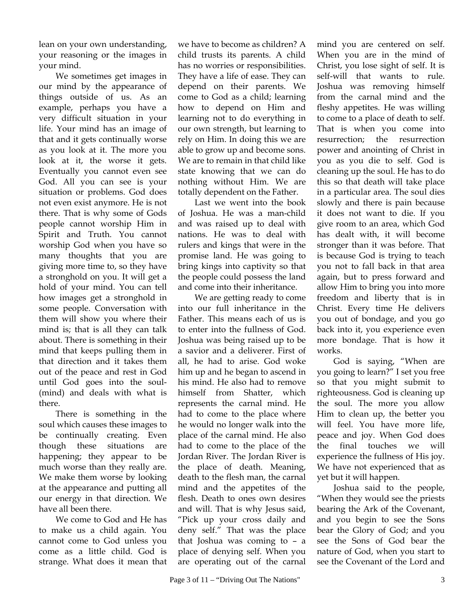lean on your own understanding, your reasoning or the images in your mind.

We sometimes get images in our mind by the appearance of things outside of us. As an example, perhaps you have a very difficult situation in your life. Your mind has an image of that and it gets continually worse as you look at it. The more you look at it, the worse it gets. Eventually you cannot even see God. All you can see is your situation or problems. God does not even exist anymore. He is not there. That is why some of Gods people cannot worship Him in Spirit and Truth. You cannot worship God when you have so many thoughts that you are giving more time to, so they have a stronghold on you. It will get a hold of your mind. You can tell how images get a stronghold in some people. Conversation with them will show you where their mind is; that is all they can talk about. There is something in their mind that keeps pulling them in that direction and it takes them out of the peace and rest in God until God goes into the soul- (mind) and deals with what is there.

There is something in the soul which causes these images to be continually creating. Even though these situations are happening; they appear to be much worse than they really are. We make them worse by looking at the appearance and putting all our energy in that direction. We have all been there.

We come to God and He has to make us a child again. You cannot come to God unless you come as a little child. God is strange. What does it mean that

we have to become as children? A child trusts its parents. A child has no worries or responsibilities. They have a life of ease. They can depend on their parents. We come to God as a child; learning how to depend on Him and learning not to do everything in our own strength, but learning to rely on Him. In doing this we are able to grow up and become sons. We are to remain in that child like state knowing that we can do nothing without Him. We are totally dependent on the Father.

Last we went into the book of Joshua. He was a man-child and was raised up to deal with nations. He was to deal with rulers and kings that were in the promise land. He was going to bring kings into captivity so that the people could possess the land and come into their inheritance.

We are getting ready to come into our full inheritance in the Father. This means each of us is to enter into the fullness of God. Joshua was being raised up to be a savior and a deliverer. First of all, he had to arise. God woke him up and he began to ascend in his mind. He also had to remove himself from Shatter, which represents the carnal mind. He had to come to the place where he would no longer walk into the place of the carnal mind. He also had to come to the place of the Jordan River. The Jordan River is the place of death. Meaning, death to the flesh man, the carnal mind and the appetites of the flesh. Death to ones own desires and will. That is why Jesus said, "Pick up your cross daily and deny self." That was the place that Joshua was coming to – a place of denying self. When you are operating out of the carnal

mind you are centered on self. When you are in the mind of Christ, you lose sight of self. It is self-will that wants to rule. Joshua was removing himself from the carnal mind and the fleshy appetites. He was willing to come to a place of death to self. That is when you come into resurrection; the resurrection power and anointing of Christ in you as you die to self. God is cleaning up the soul. He has to do this so that death will take place in a particular area. The soul dies slowly and there is pain because it does not want to die. If you give room to an area, which God has dealt with, it will become stronger than it was before. That is because God is trying to teach you not to fall back in that area again, but to press forward and allow Him to bring you into more freedom and liberty that is in Christ. Every time He delivers you out of bondage, and you go back into it, you experience even more bondage. That is how it works.

God is saying, "When are you going to learn?" I set you free so that you might submit to righteousness. God is cleaning up the soul. The more you allow Him to clean up, the better you will feel. You have more life, peace and joy. When God does the final touches we will experience the fullness of His joy. We have not experienced that as yet but it will happen.

Joshua said to the people, "When they would see the priests bearing the Ark of the Covenant, and you begin to see the Sons bear the Glory of God; and you see the Sons of God bear the nature of God, when you start to see the Covenant of the Lord and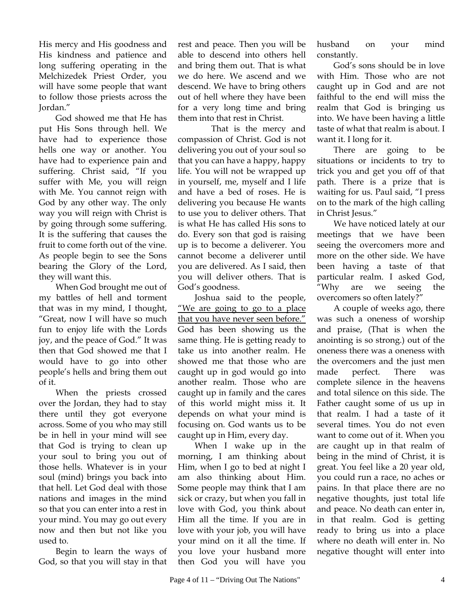His mercy and His goodness and His kindness and patience and long suffering operating in the Melchizedek Priest Order, you will have some people that want to follow those priests across the Jordan."

God showed me that He has put His Sons through hell. We have had to experience those hells one way or another. You have had to experience pain and suffering. Christ said, "If you suffer with Me, you will reign with Me. You cannot reign with God by any other way. The only way you will reign with Christ is by going through some suffering. It is the suffering that causes the fruit to come forth out of the vine. As people begin to see the Sons bearing the Glory of the Lord, they will want this.

When God brought me out of my battles of hell and torment that was in my mind, I thought, "Great, now I will have so much fun to enjoy life with the Lords joy, and the peace of God." It was then that God showed me that I would have to go into other people's hells and bring them out of it.

When the priests crossed over the Jordan, they had to stay there until they got everyone across. Some of you who may still be in hell in your mind will see that God is trying to clean up your soul to bring you out of those hells. Whatever is in your soul (mind) brings you back into that hell. Let God deal with those nations and images in the mind so that you can enter into a rest in your mind. You may go out every now and then but not like you used to.

Begin to learn the ways of God, so that you will stay in that

rest and peace. Then you will be able to descend into others hell and bring them out. That is what we do here. We ascend and we descend. We have to bring others out of hell where they have been for a very long time and bring them into that rest in Christ.

 That is the mercy and compassion of Christ. God is not delivering you out of your soul so that you can have a happy, happy life. You will not be wrapped up in yourself, me, myself and I life and have a bed of roses. He is delivering you because He wants to use you to deliver others. That is what He has called His sons to do. Every son that god is raising up is to become a deliverer. You cannot become a deliverer until you are delivered. As I said, then you will deliver others. That is God's goodness.

Joshua said to the people, "We are going to go to a place that you have never seen before." God has been showing us the same thing. He is getting ready to take us into another realm. He showed me that those who are caught up in god would go into another realm. Those who are caught up in family and the cares of this world might miss it. It depends on what your mind is focusing on. God wants us to be caught up in Him, every day.

When I wake up in the morning, I am thinking about Him, when I go to bed at night I am also thinking about Him. Some people may think that I am sick or crazy, but when you fall in love with God, you think about Him all the time. If you are in love with your job, you will have your mind on it all the time. If you love your husband more then God you will have you

husband on your mind constantly.

God's sons should be in love with Him. Those who are not caught up in God and are not faithful to the end will miss the realm that God is bringing us into. We have been having a little taste of what that realm is about. I want it. I long for it.

There are going to be situations or incidents to try to trick you and get you off of that path. There is a prize that is waiting for us. Paul said, "I press on to the mark of the high calling in Christ Jesus."

We have noticed lately at our meetings that we have been seeing the overcomers more and more on the other side. We have been having a taste of that particular realm. I asked God, "Why are we seeing the overcomers so often lately?"

A couple of weeks ago, there was such a oneness of worship and praise, (That is when the anointing is so strong.) out of the oneness there was a oneness with the overcomers and the just men made perfect. There was complete silence in the heavens and total silence on this side. The Father caught some of us up in that realm. I had a taste of it several times. You do not even want to come out of it. When you are caught up in that realm of being in the mind of Christ, it is great. You feel like a 20 year old, you could run a race, no aches or pains. In that place there are no negative thoughts, just total life and peace. No death can enter in, in that realm. God is getting ready to bring us into a place where no death will enter in. No negative thought will enter into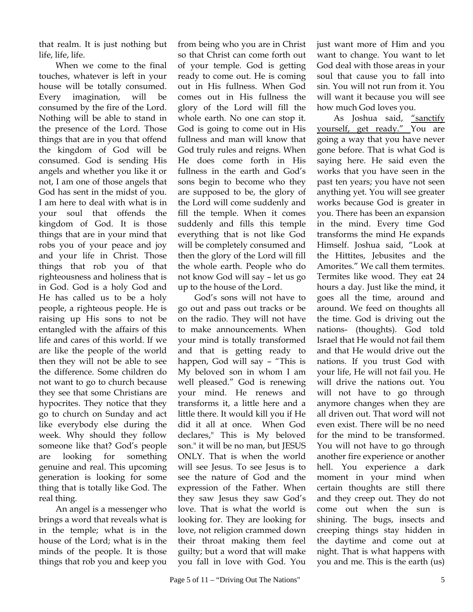that realm. It is just nothing but life, life, life.

When we come to the final touches, whatever is left in your house will be totally consumed. Every imagination, will be consumed by the fire of the Lord. Nothing will be able to stand in the presence of the Lord. Those things that are in you that offend the kingdom of God will be consumed. God is sending His angels and whether you like it or not, I am one of those angels that God has sent in the midst of you. I am here to deal with what is in your soul that offends the kingdom of God. It is those things that are in your mind that robs you of your peace and joy and your life in Christ. Those things that rob you of that righteousness and holiness that is in God. God is a holy God and He has called us to be a holy people, a righteous people. He is raising up His sons to not be entangled with the affairs of this life and cares of this world. If we are like the people of the world then they will not be able to see the difference. Some children do not want to go to church because they see that some Christians are hypocrites. They notice that they go to church on Sunday and act like everybody else during the week. Why should they follow someone like that? God's people are looking for something genuine and real. This upcoming generation is looking for some thing that is totally like God. The real thing.

An angel is a messenger who brings a word that reveals what is in the temple; what is in the house of the Lord; what is in the minds of the people. It is those things that rob you and keep you

from being who you are in Christ so that Christ can come forth out of your temple. God is getting ready to come out. He is coming out in His fullness. When God comes out in His fullness the glory of the Lord will fill the whole earth. No one can stop it. God is going to come out in His fullness and man will know that God truly rules and reigns. When He does come forth in His fullness in the earth and God's sons begin to become who they are supposed to be, the glory of the Lord will come suddenly and fill the temple. When it comes suddenly and fills this temple everything that is not like God will be completely consumed and then the glory of the Lord will fill the whole earth. People who do not know God will say – let us go up to the house of the Lord.

God's sons will not have to go out and pass out tracks or be on the radio. They will not have to make announcements. When your mind is totally transformed and that is getting ready to happen, God will say – "This is My beloved son in whom I am well pleased." God is renewing your mind. He renews and transforms it, a little here and a little there. It would kill you if He did it all at once. When God declares," This is My beloved son." it will be no man, but JESUS ONLY. That is when the world will see Jesus. To see Jesus is to see the nature of God and the expression of the Father. When they saw Jesus they saw God's love. That is what the world is looking for. They are looking for love, not religion crammed down their throat making them feel guilty; but a word that will make you fall in love with God. You

just want more of Him and you want to change. You want to let God deal with those areas in your soul that cause you to fall into sin. You will not run from it. You will want it because you will see how much God loves you.

As Joshua said, "sanctify yourself, get ready." You are going a way that you have never gone before. That is what God is saying here. He said even the works that you have seen in the past ten years; you have not seen anything yet. You will see greater works because God is greater in you. There has been an expansion in the mind. Every time God transforms the mind He expands Himself. Joshua said, "Look at the Hittites, Jebusites and the Amorites." We call them termites. Termites like wood. They eat 24 hours a day. Just like the mind, it goes all the time, around and around. We feed on thoughts all the time. God is driving out the nations- (thoughts). God told Israel that He would not fail them and that He would drive out the nations. If you trust God with your life, He will not fail you. He will drive the nations out. You will not have to go through anymore changes when they are all driven out. That word will not even exist. There will be no need for the mind to be transformed. You will not have to go through another fire experience or another hell. You experience a dark moment in your mind when certain thoughts are still there and they creep out. They do not come out when the sun is shining. The bugs, insects and creeping things stay hidden in the daytime and come out at night. That is what happens with you and me. This is the earth (us)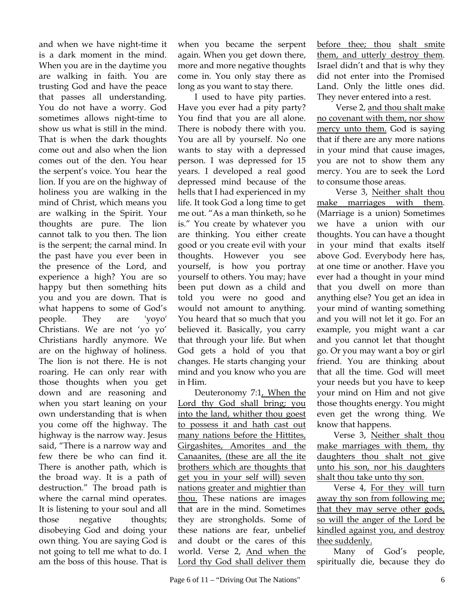and when we have night-time it is a dark moment in the mind. When you are in the daytime you are walking in faith. You are trusting God and have the peace that passes all understanding. You do not have a worry. God sometimes allows night-time to show us what is still in the mind. That is when the dark thoughts come out and also when the lion comes out of the den. You hear the serpent's voice. You hear the lion. If you are on the highway of holiness you are walking in the mind of Christ, which means you are walking in the Spirit. Your thoughts are pure. The lion cannot talk to you then. The lion is the serpent; the carnal mind. In the past have you ever been in the presence of the Lord, and experience a high? You are so happy but then something hits you and you are down. That is what happens to some of God's people. They are 'yoyo' Christians. We are not 'yo yo' Christians hardly anymore. We are on the highway of holiness. The lion is not there. He is not roaring. He can only rear with those thoughts when you get down and are reasoning and when you start leaning on your own understanding that is when you come off the highway. The highway is the narrow way. Jesus said, "There is a narrow way and few there be who can find it. There is another path, which is the broad way. It is a path of destruction." The broad path is where the carnal mind operates. It is listening to your soul and all those negative thoughts; disobeying God and doing your own thing. You are saying God is not going to tell me what to do. I am the boss of this house. That is

when you became the serpent again. When you get down there, more and more negative thoughts come in. You only stay there as long as you want to stay there.

I used to have pity parties. Have you ever had a pity party? You find that you are all alone. There is nobody there with you. You are all by yourself. No one wants to stay with a depressed person. I was depressed for 15 years. I developed a real good depressed mind because of the hells that I had experienced in my life. It took God a long time to get me out. "As a man thinketh, so he is." You create by whatever you are thinking. You either create good or you create evil with your thoughts. However you see yourself, is how you portray yourself to others. You may; have been put down as a child and told you were no good and would not amount to anything. You heard that so much that you believed it. Basically, you carry that through your life. But when God gets a hold of you that changes. He starts changing your mind and you know who you are in Him.

Deuteronomy 7:1, When the Lord thy God shall bring; you into the land, whither thou goest to possess it and hath cast out many nations before the Hittites, Girgashites, Amorites and the Canaanites, (these are all the ite brothers which are thoughts that get you in your self will) seven nations greater and mightier than thou. These nations are images that are in the mind. Sometimes they are strongholds. Some of these nations are fear, unbelief and doubt or the cares of this world. Verse 2, And when the Lord thy God shall deliver them before thee; thou shalt smite them, and utterly destroy them. Israel didn't and that is why they did not enter into the Promised Land. Only the little ones did. They never entered into a rest.

 Verse 2, and thou shalt make no covenant with them, nor show mercy unto them. God is saying that if there are any more nations in your mind that cause images, you are not to show them any mercy. You are to seek the Lord to consume those areas.

 Verse 3, Neither shalt thou make marriages with them. (Marriage is a union) Sometimes we have a union with our thoughts. You can have a thought in your mind that exalts itself above God. Everybody here has, at one time or another. Have you ever had a thought in your mind that you dwell on more than anything else? You get an idea in your mind of wanting something and you will not let it go. For an example, you might want a car and you cannot let that thought go. Or you may want a boy or girl friend. You are thinking about that all the time. God will meet your needs but you have to keep your mind on Him and not give those thoughts energy. You might even get the wrong thing. We know that happens.

Verse 3, Neither shalt thou make marriages with them, thy daughters thou shalt not give unto his son, nor his daughters shalt thou take unto thy son.

Verse 4, For they will turn away thy son from following me; that they may serve other gods, so will the anger of the Lord be kindled against you, and destroy thee suddenly.

Many of God's people, spiritually die, because they do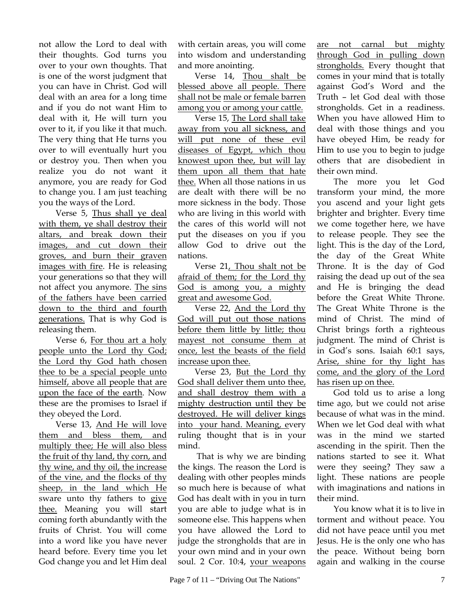not allow the Lord to deal with their thoughts. God turns you over to your own thoughts. That is one of the worst judgment that you can have in Christ. God will deal with an area for a long time and if you do not want Him to deal with it, He will turn you over to it, if you like it that much. The very thing that He turns you over to will eventually hurt you or destroy you. Then when you realize you do not want it anymore, you are ready for God to change you. I am just teaching you the ways of the Lord.

Verse 5, Thus shall ye deal with them, ye shall destroy their altars, and break down their images, and cut down their groves, and burn their graven images with fire. He is releasing your generations so that they will not affect you anymore. The sins of the fathers have been carried down to the third and fourth generations. That is why God is releasing them.

Verse 6, For thou art a holy people unto the Lord thy God; the Lord thy God hath chosen thee to be a special people unto himself, above all people that are upon the face of the earth. Now these are the promises to Israel if they obeyed the Lord.

Verse 13, And He will love them and bless them, and multiply thee; He will also bless the fruit of thy land, thy corn, and thy wine, and thy oil, the increase of the vine, and the flocks of thy sheep, in the land which He sware unto thy fathers to give thee. Meaning you will start coming forth abundantly with the fruits of Christ. You will come into a word like you have never heard before. Every time you let God change you and let Him deal with certain areas, you will come into wisdom and understanding and more anointing.

Verse 14, Thou shalt be blessed above all people. There shall not be male or female barren among you or among your cattle.

Verse 15, The Lord shall take away from you all sickness, and will put none of these evil diseases of Egypt, which thou knowest upon thee, but will lay them upon all them that hate thee. When all those nations in us are dealt with there will be no more sickness in the body. Those who are living in this world with the cares of this world will not put the diseases on you if you allow God to drive out the nations.

Verse 21, Thou shalt not be afraid of them; for the Lord thy God is among you, a mighty great and awesome God.

Verse 22, And the Lord thy God will put out those nations before them little by little; thou mayest not consume them at once, lest the beasts of the field increase upon thee.

Verse 23, But the Lord thy God shall deliver them unto thee, and shall destroy them with a mighty destruction until they be destroyed. He will deliver kings into your hand. Meaning, every ruling thought that is in your mind.

 That is why we are binding the kings. The reason the Lord is dealing with other peoples minds so much here is because of what God has dealt with in you in turn you are able to judge what is in someone else. This happens when you have allowed the Lord to judge the strongholds that are in your own mind and in your own soul. 2 Cor. 10:4, your weapons are not carnal but mighty through God in pulling down strongholds. Every thought that comes in your mind that is totally against God's Word and the Truth – let God deal with those strongholds. Get in a readiness. When you have allowed Him to deal with those things and you have obeyed Him, be ready for Him to use you to begin to judge others that are disobedient in their own mind.

The more you let God transform your mind, the more you ascend and your light gets brighter and brighter. Every time we come together here, we have to release people. They see the light. This is the day of the Lord, the day of the Great White Throne. It is the day of God raising the dead up out of the sea and He is bringing the dead before the Great White Throne. The Great White Throne is the mind of Christ. The mind of Christ brings forth a righteous judgment. The mind of Christ is in God's sons. Isaiah 60:1 says, Arise, shine for thy light has come, and the glory of the Lord has risen up on thee.

God told us to arise a long time ago, but we could not arise because of what was in the mind. When we let God deal with what was in the mind we started ascending in the spirit. Then the nations started to see it. What were they seeing? They saw a light. These nations are people with imaginations and nations in their mind.

You know what it is to live in torment and without peace. You did not have peace until you met Jesus. He is the only one who has the peace. Without being born again and walking in the course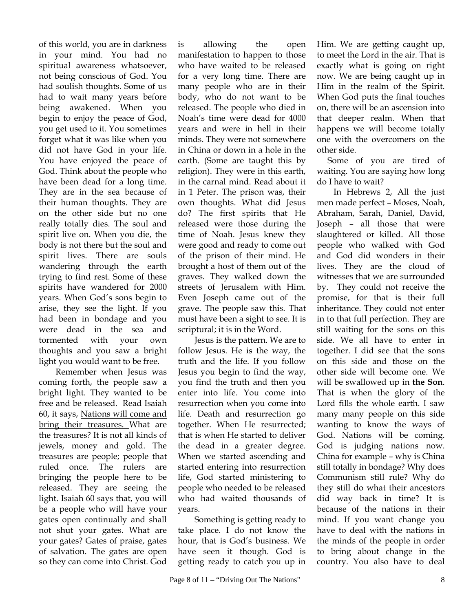of this world, you are in darkness in your mind. You had no spiritual awareness whatsoever, not being conscious of God. You had soulish thoughts. Some of us had to wait many years before being awakened. When you begin to enjoy the peace of God, you get used to it. You sometimes forget what it was like when you did not have God in your life. You have enjoyed the peace of God. Think about the people who have been dead for a long time. They are in the sea because of their human thoughts. They are on the other side but no one really totally dies. The soul and spirit live on. When you die, the body is not there but the soul and spirit lives. There are souls wandering through the earth trying to find rest. Some of these spirits have wandered for 2000 years. When God's sons begin to arise, they see the light. If you had been in bondage and you were dead in the sea and tormented with your own thoughts and you saw a bright light you would want to be free.

Remember when Jesus was coming forth, the people saw a bright light. They wanted to be free and be released. Read Isaiah 60, it says, Nations will come and bring their treasures. What are the treasures? It is not all kinds of jewels, money and gold. The treasures are people; people that ruled once. The rulers are bringing the people here to be released. They are seeing the light. Isaiah 60 says that, you will be a people who will have your gates open continually and shall not shut your gates. What are your gates? Gates of praise, gates of salvation. The gates are open so they can come into Christ. God

is allowing the open manifestation to happen to those who have waited to be released for a very long time. There are many people who are in their body, who do not want to be released. The people who died in Noah's time were dead for 4000 years and were in hell in their minds. They were not somewhere in China or down in a hole in the earth. (Some are taught this by religion). They were in this earth, in the carnal mind. Read about it in 1 Peter. The prison was, their own thoughts. What did Jesus do? The first spirits that He released were those during the time of Noah. Jesus knew they were good and ready to come out of the prison of their mind. He brought a host of them out of the graves. They walked down the streets of Jerusalem with Him. Even Joseph came out of the grave. The people saw this. That must have been a sight to see. It is scriptural; it is in the Word.

Jesus is the pattern. We are to follow Jesus. He is the way, the truth and the life. If you follow Jesus you begin to find the way, you find the truth and then you enter into life. You come into resurrection when you come into life. Death and resurrection go together. When He resurrected; that is when He started to deliver the dead in a greater degree. When we started ascending and started entering into resurrection life, God started ministering to people who needed to be released who had waited thousands of years.

Something is getting ready to take place. I do not know the hour, that is God's business. We have seen it though. God is getting ready to catch you up in

Him. We are getting caught up, to meet the Lord in the air. That is exactly what is going on right now. We are being caught up in Him in the realm of the Spirit. When God puts the final touches on, there will be an ascension into that deeper realm. When that happens we will become totally one with the overcomers on the other side.

 Some of you are tired of waiting. You are saying how long do I have to wait?

In Hebrews 2, All the just men made perfect – Moses, Noah, Abraham, Sarah, Daniel, David, Joseph – all those that were slaughtered or killed. All those people who walked with God and God did wonders in their lives. They are the cloud of witnesses that we are surrounded by. They could not receive the promise, for that is their full inheritance. They could not enter in to that full perfection. They are still waiting for the sons on this side. We all have to enter in together. I did see that the sons on this side and those on the other side will become one. We will be swallowed up in **the Son**. That is when the glory of the Lord fills the whole earth. I saw many many people on this side wanting to know the ways of God. Nations will be coming. God is judging nations now. China for example – why is China still totally in bondage? Why does Communism still rule? Why do they still do what their ancestors did way back in time? It is because of the nations in their mind. If you want change you have to deal with the nations in the minds of the people in order to bring about change in the country. You also have to deal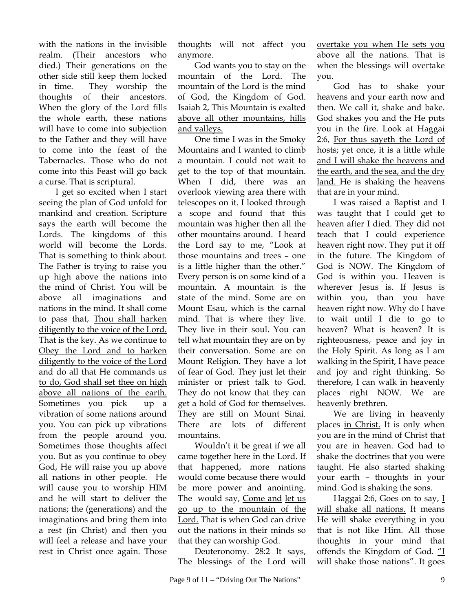with the nations in the invisible realm. (Their ancestors who died.) Their generations on the other side still keep them locked in time. They worship the thoughts of their ancestors. When the glory of the Lord fills the whole earth, these nations will have to come into subjection to the Father and they will have to come into the feast of the Tabernacles. Those who do not come into this Feast will go back a curse. That is scriptural.

I get so excited when I start seeing the plan of God unfold for mankind and creation. Scripture says the earth will become the Lords. The kingdoms of this world will become the Lords. That is something to think about. The Father is trying to raise you up high above the nations into the mind of Christ. You will be above all imaginations and nations in the mind. It shall come to pass that, Thou shall harken diligently to the voice of the Lord. That is the key. As we continue to Obey the Lord and to harken diligently to the voice of the Lord and do all that He commands us to do, God shall set thee on high above all nations of the earth. Sometimes you pick up a vibration of some nations around you. You can pick up vibrations from the people around you. Sometimes those thoughts affect you. But as you continue to obey God, He will raise you up above all nations in other people. He will cause you to worship HIM and he will start to deliver the nations; the (generations) and the imaginations and bring them into a rest (in Christ) and then you will feel a release and have your rest in Christ once again. Those

thoughts will not affect you anymore.

God wants you to stay on the mountain of the Lord. The mountain of the Lord is the mind of God, the Kingdom of God. Isaiah 2, This Mountain is exalted above all other mountains, hills and valleys.

One time I was in the Smoky Mountains and I wanted to climb a mountain. I could not wait to get to the top of that mountain. When I did, there was an overlook viewing area there with telescopes on it. I looked through a scope and found that this mountain was higher then all the other mountains around. I heard the Lord say to me, "Look at those mountains and trees – one is a little higher than the other." Every person is on some kind of a mountain. A mountain is the state of the mind. Some are on Mount Esau, which is the carnal mind. That is where they live. They live in their soul. You can tell what mountain they are on by their conversation. Some are on Mount Religion. They have a lot of fear of God. They just let their minister or priest talk to God. They do not know that they can get a hold of God for themselves. They are still on Mount Sinai. There are lots of different mountains.

Wouldn't it be great if we all came together here in the Lord. If that happened, more nations would come because there would be more power and anointing. The would say, Come and let us go up to the mountain of the Lord. That is when God can drive out the nations in their minds so that they can worship God.

Deuteronomy. 28:2 It says, The blessings of the Lord will overtake you when He sets you above all the nations. That is when the blessings will overtake you.

God has to shake your heavens and your earth now and then. We call it, shake and bake. God shakes you and the He puts you in the fire. Look at Haggai 2:6, For thus sayeth the Lord of hosts; yet once, it is a little while and I will shake the heavens and the earth, and the sea, and the dry land. He is shaking the heavens that are in your mind.

I was raised a Baptist and I was taught that I could get to heaven after I died. They did not teach that I could experience heaven right now. They put it off in the future. The Kingdom of God is NOW. The Kingdom of God is within you. Heaven is wherever Jesus is. If Jesus is within you, than you have heaven right now. Why do I have to wait until I die to go to heaven? What is heaven? It is righteousness, peace and joy in the Holy Spirit. As long as I am walking in the Spirit, I have peace and joy and right thinking. So therefore, I can walk in heavenly places right NOW. We are heavenly brethren.

We are living in heavenly places in Christ. It is only when you are in the mind of Christ that you are in heaven. God had to shake the doctrines that you were taught. He also started shaking your earth – thoughts in your mind. God is shaking the sons.

Haggai 2:6, Goes on to say, I will shake all nations. It means He will shake everything in you that is not like Him. All those thoughts in your mind that offends the Kingdom of God. "I will shake those nations". It goes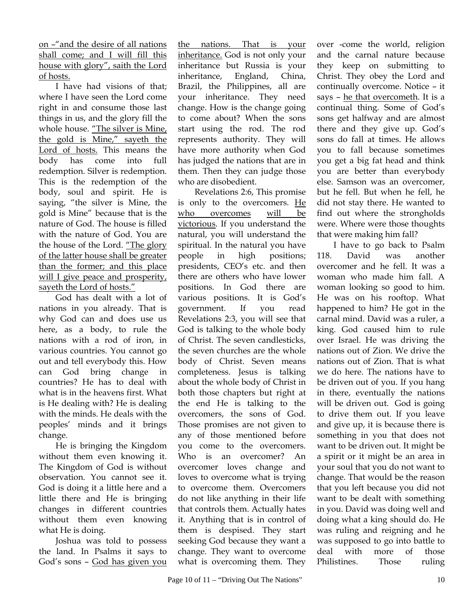on –"and the desire of all nations shall come; and I will fill this house with glory", saith the Lord of hosts.

I have had visions of that; where I have seen the Lord come right in and consume those last things in us, and the glory fill the whole house. "The silver is Mine, the gold is Mine," sayeth the Lord of hosts. This means the body has come into full redemption. Silver is redemption. This is the redemption of the body, soul and spirit. He is saying, "the silver is Mine, the gold is Mine" because that is the nature of God. The house is filled with the nature of God. You are the house of the Lord. "The glory of the latter house shall be greater than the former; and this place will I give peace and prosperity, sayeth the Lord of hosts."

God has dealt with a lot of nations in you already. That is why God can and does use us here, as a body, to rule the nations with a rod of iron, in various countries. You cannot go out and tell everybody this. How can God bring change in countries? He has to deal with what is in the heavens first. What is He dealing with? He is dealing with the minds. He deals with the peoples' minds and it brings change.

He is bringing the Kingdom without them even knowing it. The Kingdom of God is without observation. You cannot see it. God is doing it a little here and a little there and He is bringing changes in different countries without them even knowing what He is doing.

Joshua was told to possess the land. In Psalms it says to God's sons – God has given you

the nations. That is your inheritance. God is not only your inheritance but Russia is your inheritance, England, China, Brazil, the Philippines, all are your inheritance. They need change. How is the change going to come about? When the sons start using the rod. The rod represents authority. They will have more authority when God has judged the nations that are in them. Then they can judge those who are disobedient.

Revelations 2:6, This promise is only to the overcomers. He who overcomes will be victorious. If you understand the natural, you will understand the spiritual. In the natural you have people in high positions; presidents, CEO's etc. and then there are others who have lower positions. In God there are various positions. It is God's government. If you read Revelations 2:3, you will see that God is talking to the whole body of Christ. The seven candlesticks, the seven churches are the whole body of Christ. Seven means completeness. Jesus is talking about the whole body of Christ in both those chapters but right at the end He is talking to the overcomers, the sons of God. Those promises are not given to any of those mentioned before you come to the overcomers. Who is an overcomer? An overcomer loves change and loves to overcome what is trying to overcome them. Overcomers do not like anything in their life that controls them. Actually hates it. Anything that is in control of them is despised. They start seeking God because they want a change. They want to overcome what is overcoming them. They over -come the world, religion and the carnal nature because they keep on submitting to Christ. They obey the Lord and continually overcome. Notice – it says – he that overcometh. It is a continual thing. Some of God's sons get halfway and are almost there and they give up. God's sons do fall at times. He allows you to fall because sometimes you get a big fat head and think you are better than everybody else. Samson was an overcomer, but he fell. But when he fell, he did not stay there. He wanted to find out where the strongholds were. Where were those thoughts that were making him fall?

I have to go back to Psalm 118. David was another overcomer and he fell. It was a woman who made him fall. A woman looking so good to him. He was on his rooftop. What happened to him? He got in the carnal mind. David was a ruler, a king. God caused him to rule over Israel. He was driving the nations out of Zion. We drive the nations out of Zion. That is what we do here. The nations have to be driven out of you. If you hang in there, eventually the nations will be driven out. God is going to drive them out. If you leave and give up, it is because there is something in you that does not want to be driven out. It might be a spirit or it might be an area in your soul that you do not want to change. That would be the reason that you left because you did not want to be dealt with something in you. David was doing well and doing what a king should do. He was ruling and reigning and he was supposed to go into battle to deal with more of those Philistines. Those ruling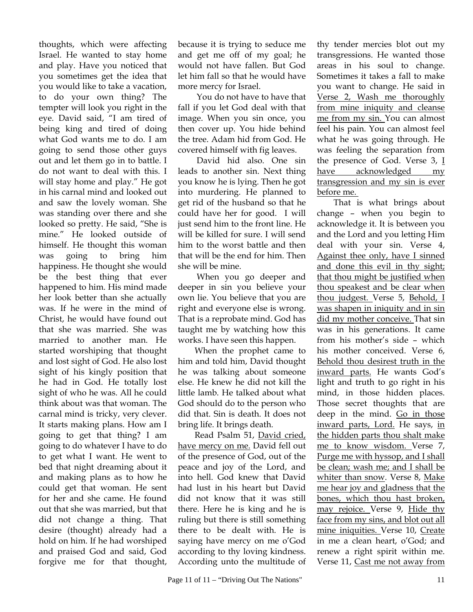thoughts, which were affecting Israel. He wanted to stay home and play. Have you noticed that you sometimes get the idea that you would like to take a vacation, to do your own thing? The tempter will look you right in the eye. David said, "I am tired of being king and tired of doing what God wants me to do. I am going to send those other guys out and let them go in to battle. I do not want to deal with this. I will stay home and play." He got in his carnal mind and looked out and saw the lovely woman. She was standing over there and she looked so pretty. He said, "She is mine." He looked outside of himself. He thought this woman was going to bring him happiness. He thought she would be the best thing that ever happened to him. His mind made her look better than she actually was. If he were in the mind of Christ, he would have found out that she was married. She was married to another man. He started worshiping that thought and lost sight of God. He also lost sight of his kingly position that he had in God. He totally lost sight of who he was. All he could think about was that woman. The carnal mind is tricky, very clever. It starts making plans. How am I going to get that thing? I am going to do whatever I have to do to get what I want. He went to bed that night dreaming about it and making plans as to how he could get that woman. He sent for her and she came. He found out that she was married, but that did not change a thing. That desire (thought) already had a hold on him. If he had worshiped and praised God and said, God forgive me for that thought,

because it is trying to seduce me and get me off of my goal; he would not have fallen. But God let him fall so that he would have more mercy for Israel.

 You do not have to have that fall if you let God deal with that image. When you sin once, you then cover up. You hide behind the tree. Adam hid from God. He covered himself with fig leaves.

 David hid also. One sin leads to another sin. Next thing you know he is lying. Then he got into murdering. He planned to get rid of the husband so that he could have her for good. I will just send him to the front line. He will be killed for sure. I will send him to the worst battle and then that will be the end for him. Then she will be mine.

 When you go deeper and deeper in sin you believe your own lie. You believe that you are right and everyone else is wrong. That is a reprobate mind. God has taught me by watching how this works. I have seen this happen.

When the prophet came to him and told him, David thought he was talking about someone else. He knew he did not kill the little lamb. He talked about what God should do to the person who did that. Sin is death. It does not bring life. It brings death.

Read Psalm 51, David cried, have mercy on me. David fell out of the presence of God, out of the peace and joy of the Lord, and into hell. God knew that David had lust in his heart but David did not know that it was still there. Here he is king and he is ruling but there is still something there to be dealt with. He is saying have mercy on me o'God according to thy loving kindness. According unto the multitude of thy tender mercies blot out my transgressions. He wanted those areas in his soul to change. Sometimes it takes a fall to make you want to change. He said in Verse 2, Wash me thoroughly from mine iniquity and cleanse me from my sin. You can almost feel his pain. You can almost feel what he was going through. He was feeling the separation from the presence of God. Verse  $3, 1$ have acknowledged my transgression and my sin is ever before me.

That is what brings about change – when you begin to acknowledge it. It is between you and the Lord and you letting Him deal with your sin. Verse 4, Against thee only, have I sinned and done this evil in thy sight; that thou might be justified when thou speakest and be clear when thou judgest. Verse 5, Behold, I was shapen in iniquity and in sin did my mother conceive. That sin was in his generations. It came from his mother's side – which his mother conceived. Verse 6, Behold thou desirest truth in the inward parts. He wants God's light and truth to go right in his mind, in those hidden places. Those secret thoughts that are deep in the mind. Go in those inward parts, Lord. He says, in the hidden parts thou shalt make me to know wisdom. Verse 7, Purge me with hyssop, and I shall be clean; wash me; and I shall be whiter than snow. Verse 8, Make me hear joy and gladness that the bones, which thou hast broken, may rejoice. Verse 9, Hide thy face from my sins, and blot out all mine iniquities. Verse 10, Create in me a clean heart, o'God; and renew a right spirit within me. Verse 11, Cast me not away from